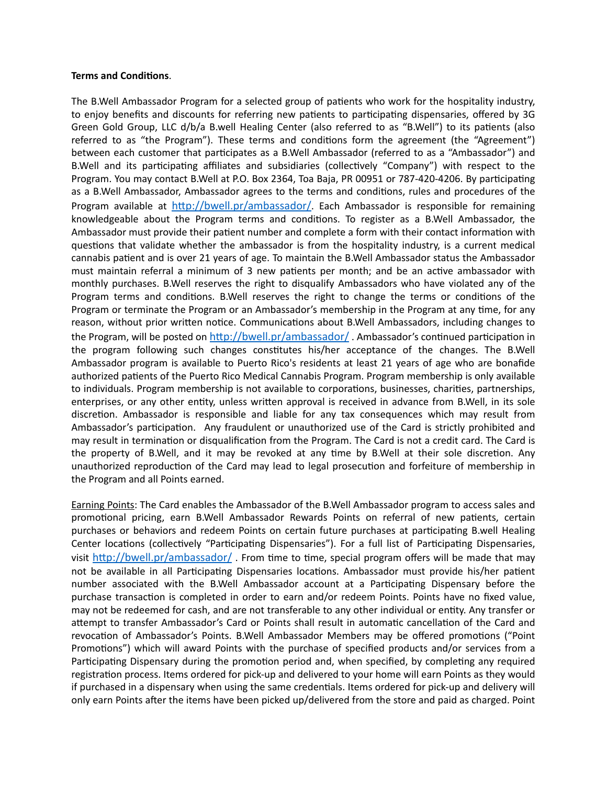## **Terms and Conditions**.

The B.Well Ambassador Program for a selected group of patients who work for the hospitality industry, to enjoy benefits and discounts for referring new patients to participating dispensaries, offered by 3G Green Gold Group, LLC d/b/a B.well Healing Center (also referred to as "B.Well") to its patients (also referred to as "the Program"). These terms and conditions form the agreement (the "Agreement") between each customer that participates as a B.Well Ambassador (referred to as a "Ambassador") and B.Well and its participating affiliates and subsidiaries (collectively "Company") with respect to the Program. You may contact B.Well at P.O. Box 2364, Toa Baja, PR 00951 or 787-420-4206. By participating as a B.Well Ambassador, Ambassador agrees to the terms and conditions, rules and procedures of the Program available at <http://bwell.pr/ambassador/>. Each Ambassador is responsible for remaining knowledgeable about the Program terms and conditions. To register as a B.Well Ambassador, the Ambassador must provide their patient number and complete a form with their contact information with questions that validate whether the ambassador is from the hospitality industry, is a current medical cannabis patient and is over 21 years of age. To maintain the B.Well Ambassador status the Ambassador must maintain referral a minimum of 3 new patients per month; and be an active ambassador with monthly purchases. B.Well reserves the right to disqualify Ambassadors who have violated any of the Program terms and conditions. B.Well reserves the right to change the terms or conditions of the Program or terminate the Program or an Ambassador's membership in the Program at any time, for any reason, without prior written notice. Communications about B.Well Ambassadors, including changes to the Program, will be posted on <http://bwell.pr/ambassador/> . Ambassador's continued participation in the program following such changes constitutes his/her acceptance of the changes. The B.Well Ambassador program is available to Puerto Rico's residents at least 21 years of age who are bonafide authorized patients of the Puerto Rico Medical Cannabis Program. Program membership is only available to individuals. Program membership is not available to corporations, businesses, charities, partnerships, enterprises, or any other entity, unless written approval is received in advance from B.Well, in its sole discretion. Ambassador is responsible and liable for any tax consequences which may result from Ambassador's participation. Any fraudulent or unauthorized use of the Card is strictly prohibited and may result in termination or disqualification from the Program. The Card is not a credit card. The Card is the property of B.Well, and it may be revoked at any time by B.Well at their sole discretion. Any unauthorized reproduction of the Card may lead to legal prosecution and forfeiture of membership in the Program and all Points earned.

Earning Points: The Card enables the Ambassador of the B.Well Ambassador program to access sales and promotional pricing, earn B.Well Ambassador Rewards Points on referral of new patients, certain purchases or behaviors and redeem Points on certain future purchases at participating B.well Healing Center locations (collectively "Participating Dispensaries"). For a full list of Participating Dispensaries, visit <http://bwell.pr/ambassador/> . From time to time, special program offers will be made that may not be available in all Participating Dispensaries locations. Ambassador must provide his/her patient number associated with the B.Well Ambassador account at a Participating Dispensary before the purchase transaction is completed in order to earn and/or redeem Points. Points have no fixed value, may not be redeemed for cash, and are not transferable to any other individual or entity. Any transfer or attempt to transfer Ambassador's Card or Points shall result in automatic cancellation of the Card and revocation of Ambassador's Points. B.Well Ambassador Members may be offered promotions ("Point Promotions") which will award Points with the purchase of specified products and/or services from a Participating Dispensary during the promotion period and, when specified, by completing any required registration process. Items ordered for pick-up and delivered to your home will earn Points as they would if purchased in a dispensary when using the same credentials. Items ordered for pick-up and delivery will only earn Points after the items have been picked up/delivered from the store and paid as charged. Point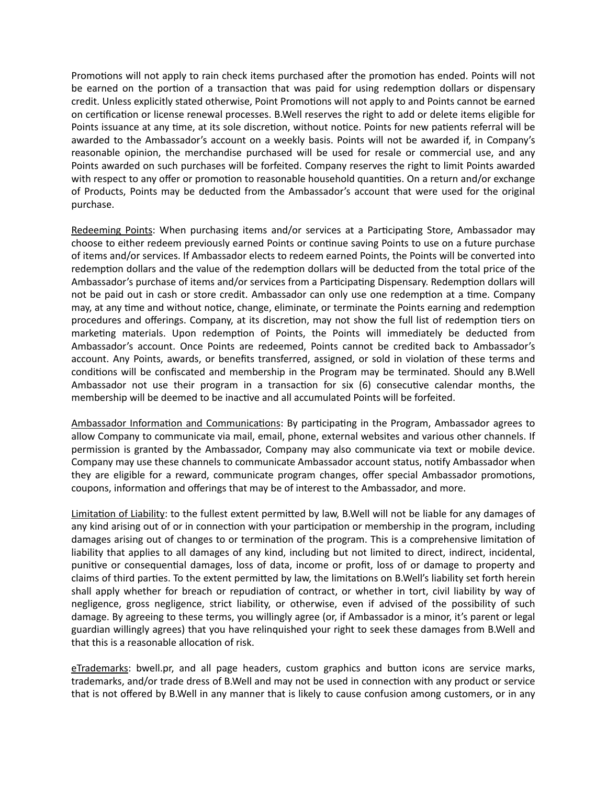Promotions will not apply to rain check items purchased after the promotion has ended. Points will not be earned on the portion of a transaction that was paid for using redemption dollars or dispensary credit. Unless explicitly stated otherwise, Point Promotions will not apply to and Points cannot be earned on certification or license renewal processes. B.Well reserves the right to add or delete items eligible for Points issuance at any time, at its sole discretion, without notice. Points for new patients referral will be awarded to the Ambassador's account on a weekly basis. Points will not be awarded if, in Company's reasonable opinion, the merchandise purchased will be used for resale or commercial use, and any Points awarded on such purchases will be forfeited. Company reserves the right to limit Points awarded with respect to any offer or promotion to reasonable household quantities. On a return and/or exchange of Products, Points may be deducted from the Ambassador's account that were used for the original purchase.

Redeeming Points: When purchasing items and/or services at a Participating Store, Ambassador may choose to either redeem previously earned Points or continue saving Points to use on a future purchase of items and/or services. If Ambassador elects to redeem earned Points, the Points will be converted into redemption dollars and the value of the redemption dollars will be deducted from the total price of the Ambassador's purchase of items and/or services from a Participating Dispensary. Redemption dollars will not be paid out in cash or store credit. Ambassador can only use one redemption at a time. Company may, at any time and without notice, change, eliminate, or terminate the Points earning and redemption procedures and offerings. Company, at its discretion, may not show the full list of redemption tiers on marketing materials. Upon redemption of Points, the Points will immediately be deducted from Ambassador's account. Once Points are redeemed, Points cannot be credited back to Ambassador's account. Any Points, awards, or benefits transferred, assigned, or sold in violation of these terms and conditions will be confiscated and membership in the Program may be terminated. Should any B.Well Ambassador not use their program in a transaction for six (6) consecutive calendar months, the membership will be deemed to be inactive and all accumulated Points will be forfeited.

Ambassador Information and Communications: By participating in the Program, Ambassador agrees to allow Company to communicate via mail, email, phone, external websites and various other channels. If permission is granted by the Ambassador, Company may also communicate via text or mobile device. Company may use these channels to communicate Ambassador account status, notify Ambassador when they are eligible for a reward, communicate program changes, offer special Ambassador promotions, coupons, information and offerings that may be of interest to the Ambassador, and more.

Limitation of Liability: to the fullest extent permitted by law, B.Well will not be liable for any damages of any kind arising out of or in connection with your participation or membership in the program, including damages arising out of changes to or termination of the program. This is a comprehensive limitation of liability that applies to all damages of any kind, including but not limited to direct, indirect, incidental, punitive or consequential damages, loss of data, income or profit, loss of or damage to property and claims of third parties. To the extent permitted by law, the limitations on B.Well's liability set forth herein shall apply whether for breach or repudiation of contract, or whether in tort, civil liability by way of negligence, gross negligence, strict liability, or otherwise, even if advised of the possibility of such damage. By agreeing to these terms, you willingly agree (or, if Ambassador is a minor, it's parent or legal guardian willingly agrees) that you have relinquished your right to seek these damages from B.Well and that this is a reasonable allocation of risk.

eTrademarks: bwell.pr, and all page headers, custom graphics and button icons are service marks, trademarks, and/or trade dress of B.Well and may not be used in connection with any product or service that is not offered by B.Well in any manner that is likely to cause confusion among customers, or in any